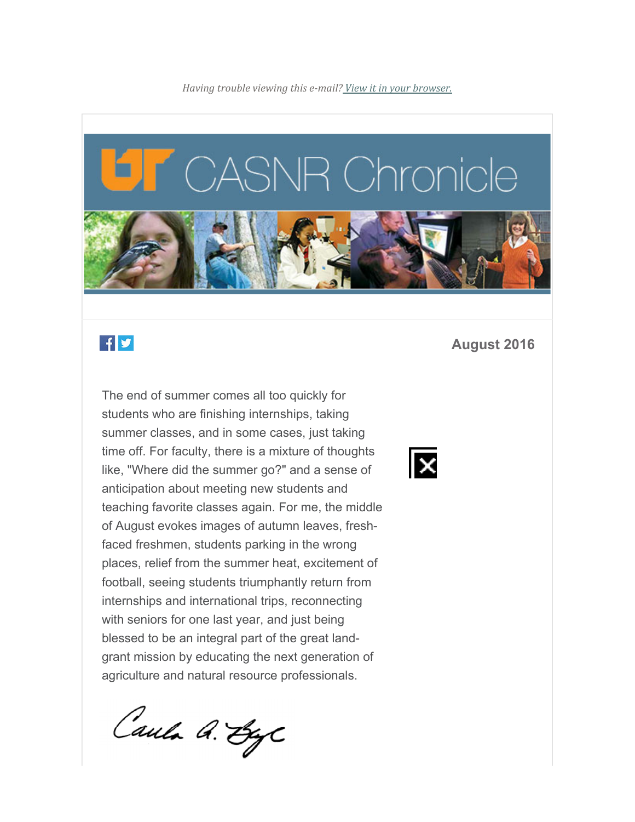

# $f \times$

The end of summer comes all too quickly for students who are finishing internships, taking summer classes, and in some cases, just taking time off. For faculty, there is a mixture of thoughts like, "Where did the summer go?" and a sense of anticipation about meeting new students and teaching favorite classes again. For me, the middle of August evokes images of autumn leaves, freshfaced freshmen, students parking in the wrong places, relief from the summer heat, excitement of football, seeing students triumphantly return from internships and international trips, reconnecting with seniors for one last year, and just being blessed to be an integral part of the great landgrant mission by educating the next generation of agriculture and natural resource professionals.

Caula A. ByC

#### **August 2016**

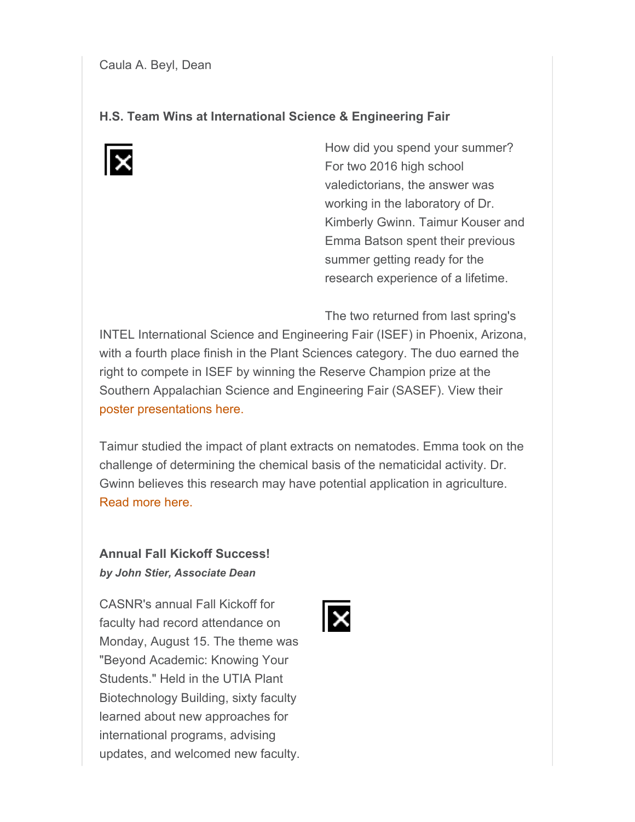#### **H.S. Team Wins at International Science & Engineering Fair**



How did you spend your summer? For two 2016 high school valedictorians, the answer was working in the laboratory of Dr. Kimberly Gwinn. Taimur Kouser and Emma Batson spent their previous summer getting ready for the research experience of a lifetime.

The two returned from last spring's

INTEL International Science and Engineering Fair (ISEF) in Phoenix, Arizona, with a fourth place finish in the Plant Sciences category. The duo earned the right to compete in ISEF by winning the Reserve Champion prize at the Southern Appalachian Science and Engineering Fair (SASEF). View their poster presentations here.

Taimur studied the impact of plant extracts on nematodes. Emma took on the challenge of determining the chemical basis of the nematicidal activity. Dr. Gwinn believes this research may have potential application in agriculture. Read more here.

## **Annual Fall Kickoff Success!** *by John Stier, Associate Dean*

CASNR's annual Fall Kickoff for faculty had record attendance on Monday, August 15. The theme was "Beyond Academic: Knowing Your Students." Held in the UTIA Plant Biotechnology Building, sixty faculty learned about new approaches for international programs, advising updates, and welcomed new faculty.

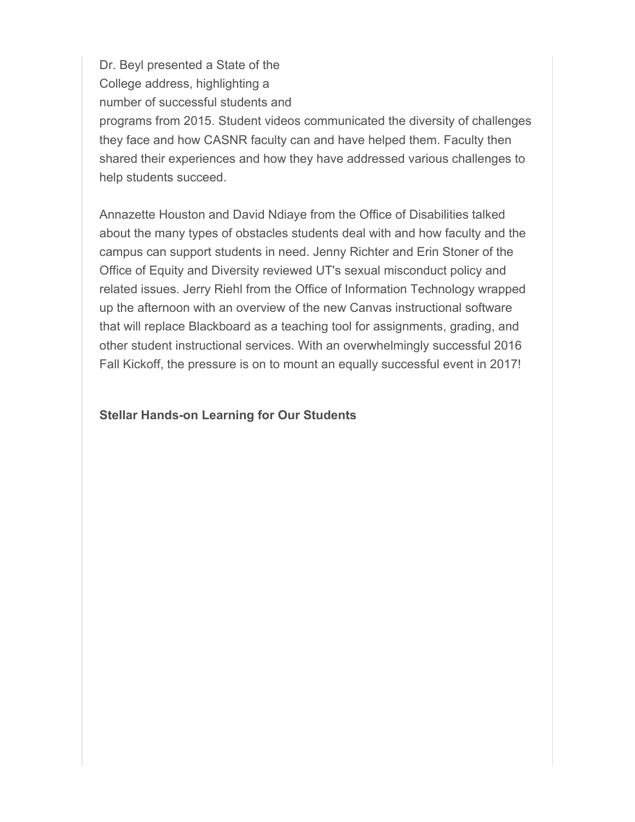Dr. Beyl presented a State of the College address, highlighting a number of successful students and programs from 2015. Student videos communicated the diversity of challenges they face and how CASNR faculty can and have helped them. Faculty then shared their experiences and how they have addressed various challenges to help students succeed.

Annazette Houston and David Ndiaye from the Office of Disabilities talked about the many types of obstacles students deal with and how faculty and the campus can support students in need. Jenny Richter and Erin Stoner of the Office of Equity and Diversity reviewed UT's sexual misconduct policy and related issues. Jerry Riehl from the Office of Information Technology wrapped up the afternoon with an overview of the new Canvas instructional software that will replace Blackboard as a teaching tool for assignments, grading, and other student instructional services. With an overwhelmingly successful 2016 Fall Kickoff, the pressure is on to mount an equally successful event in 2017!

#### **Stellar Hands-on Learning for Our Students**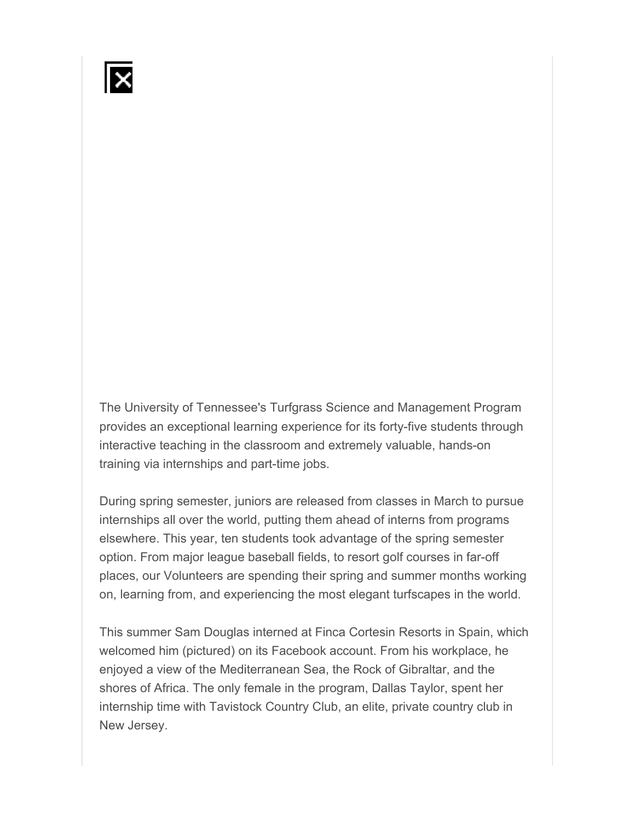

The University of Tennessee's Turfgrass Science and Management Program provides an exceptional learning experience for its forty-five students through interactive teaching in the classroom and extremely valuable, hands-on training via internships and part-time jobs.

During spring semester, juniors are released from classes in March to pursue internships all over the world, putting them ahead of interns from programs elsewhere. This year, ten students took advantage of the spring semester option. From major league baseball fields, to resort golf courses in far-off places, our Volunteers are spending their spring and summer months working on, learning from, and experiencing the most elegant turfscapes in the world.

This summer Sam Douglas interned at Finca Cortesin Resorts in Spain, which welcomed him (pictured) on its Facebook account. From his workplace, he enjoyed a view of the Mediterranean Sea, the Rock of Gibraltar, and the shores of Africa. The only female in the program, Dallas Taylor, spent her internship time with Tavistock Country Club, an elite, private country club in New Jersey.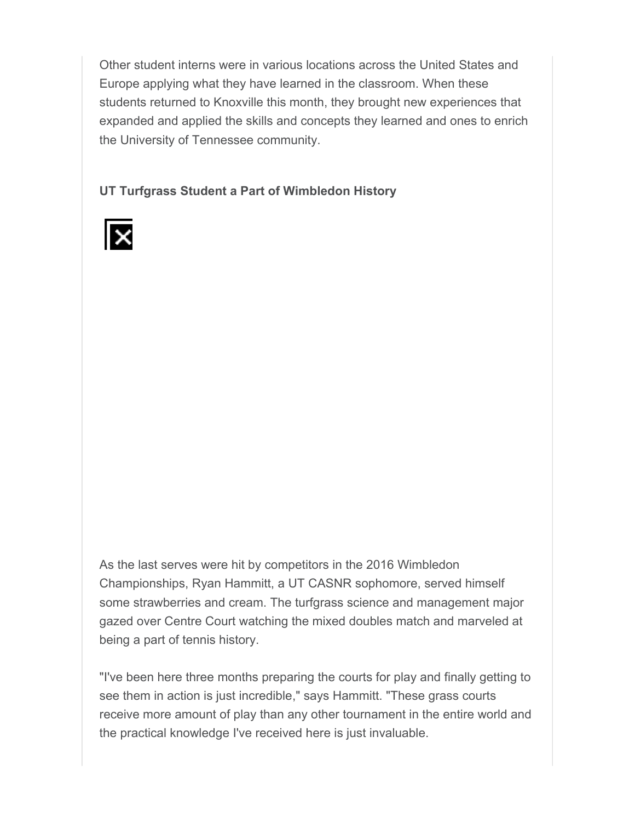Other student interns were in various locations across the United States and Europe applying what they have learned in the classroom. When these students returned to Knoxville this month, they brought new experiences that expanded and applied the skills and concepts they learned and ones to enrich the University of Tennessee community.

**UT Turfgrass Student a Part of Wimbledon History**



As the last serves were hit by competitors in the 2016 Wimbledon Championships, Ryan Hammitt, a UT CASNR sophomore, served himself some strawberries and cream. The turfgrass science and management major gazed over Centre Court watching the mixed doubles match and marveled at being a part of tennis history.

"I've been here three months preparing the courts for play and finally getting to see them in action is just incredible," says Hammitt. "These grass courts receive more amount of play than any other tournament in the entire world and the practical knowledge I've received here is just invaluable.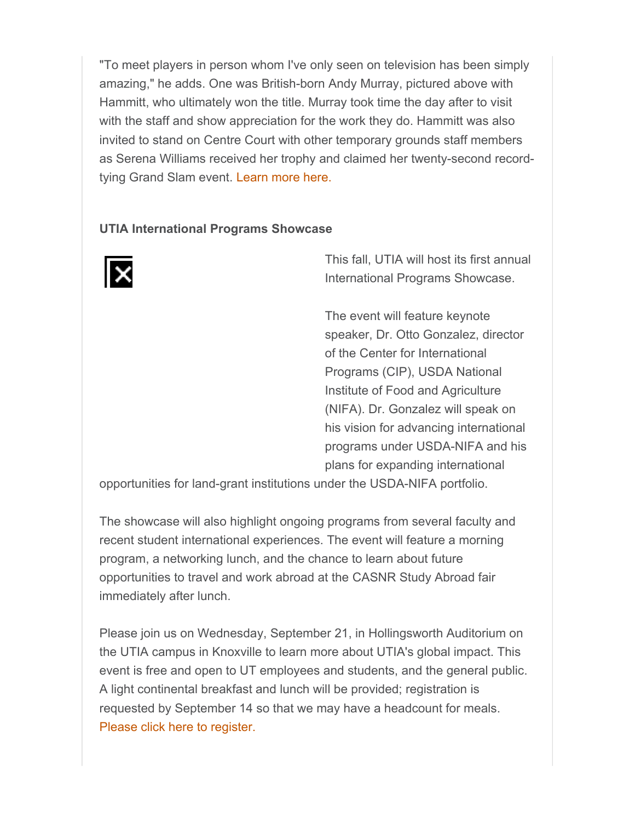"To meet players in person whom I've only seen on television has been simply amazing," he adds. One was British-born Andy Murray, pictured above with Hammitt, who ultimately won the title. Murray took time the day after to visit with the staff and show appreciation for the work they do. Hammitt was also invited to stand on Centre Court with other temporary grounds staff members as Serena Williams received her trophy and claimed her twenty-second recordtying Grand Slam event. Learn more here.

#### **UTIA International Programs Showcase**



This fall, UTIA will host its first annual International Programs Showcase.

The event will feature keynote speaker, Dr. Otto Gonzalez, director of the Center for International Programs (CIP), USDA National Institute of Food and Agriculture (NIFA). Dr. Gonzalez will speak on his vision for advancing international programs under USDA-NIFA and his plans for expanding international

opportunities for land-grant institutions under the USDA-NIFA portfolio.

The showcase will also highlight ongoing programs from several faculty and recent student international experiences. The event will feature a morning program, a networking lunch, and the chance to learn about future opportunities to travel and work abroad at the CASNR Study Abroad fair immediately after lunch.

Please join us on Wednesday, September 21, in Hollingsworth Auditorium on the UTIA campus in Knoxville to learn more about UTIA's global impact. This event is free and open to UT employees and students, and the general public. A light continental breakfast and lunch will be provided; registration is requested by September 14 so that we may have a headcount for meals. Please click here to register.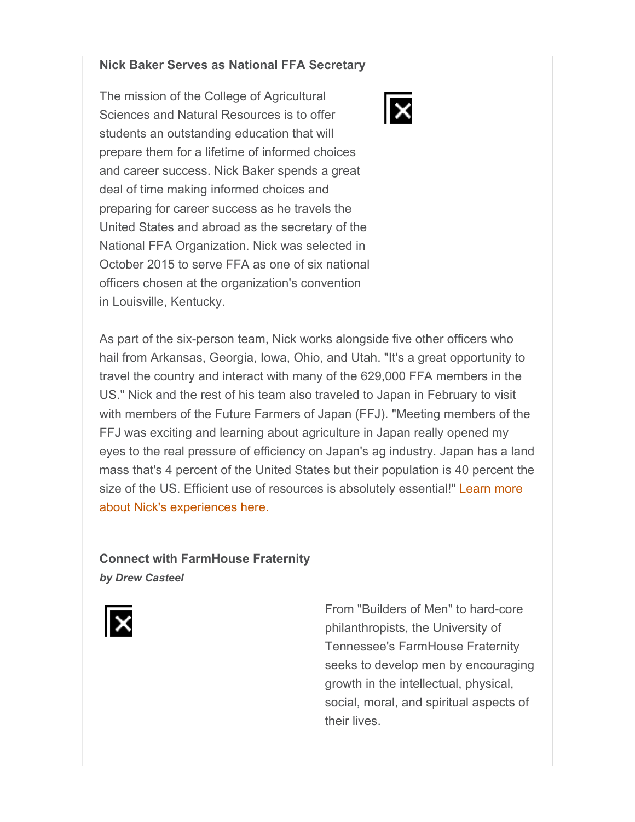#### **Nick Baker Serves as National FFA Secretary**

The mission of the College of Agricultural Sciences and Natural Resources is to offer students an outstanding education that will prepare them for a lifetime of informed choices and career success. Nick Baker spends a great deal of time making informed choices and preparing for career success as he travels the United States and abroad as the secretary of the National FFA Organization. Nick was selected in October 2015 to serve FFA as one of six national officers chosen at the organization's convention in Louisville, Kentucky.

As part of the six-person team, Nick works alongside five other officers who hail from Arkansas, Georgia, Iowa, Ohio, and Utah. "It's a great opportunity to travel the country and interact with many of the 629,000 FFA members in the US." Nick and the rest of his team also traveled to Japan in February to visit with members of the Future Farmers of Japan (FFJ). "Meeting members of the FFJ was exciting and learning about agriculture in Japan really opened my eyes to the real pressure of efficiency on Japan's ag industry. Japan has a land mass that's 4 percent of the United States but their population is 40 percent the size of the US. Efficient use of resources is absolutely essential!" Learn more about Nick's experiences here.

### **Connect with FarmHouse Fraternity** *by Drew Casteel*



From "Builders of Men" to hard-core philanthropists, the University of Tennessee's FarmHouse Fraternity seeks to develop men by encouraging growth in the intellectual, physical, social, moral, and spiritual aspects of their lives.

 $\overline{\mathsf{x}}$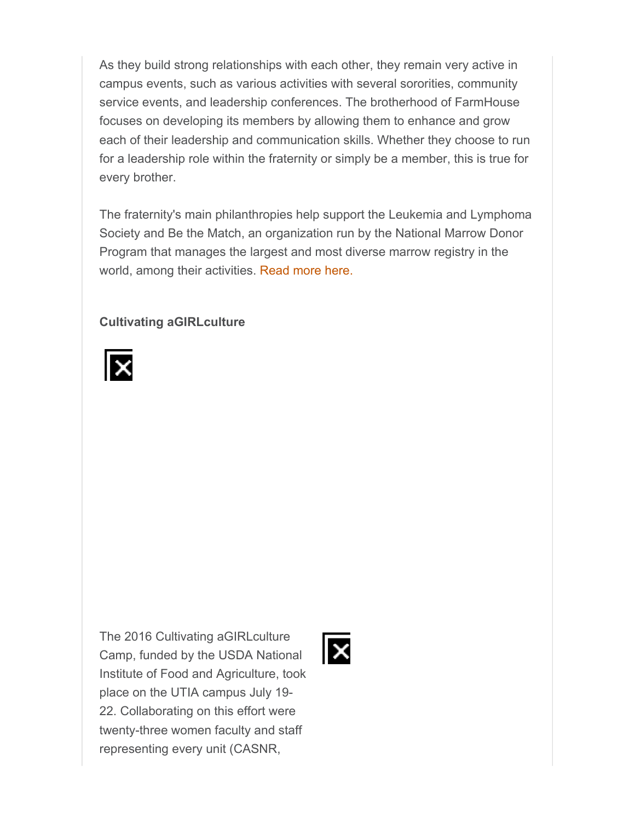As they build strong relationships with each other, they remain very active in campus events, such as various activities with several sororities, community service events, and leadership conferences. The brotherhood of FarmHouse focuses on developing its members by allowing them to enhance and grow each of their leadership and communication skills. Whether they choose to run for a leadership role within the fraternity or simply be a member, this is true for every brother.

The fraternity's main philanthropies help support the Leukemia and Lymphoma Society and Be the Match, an organization run by the National Marrow Donor Program that manages the largest and most diverse marrow registry in the world, among their activities. Read more here.

#### **Cultivating aGIRLculture**



The 2016 Cultivating aGIRLculture Camp, funded by the USDA National Institute of Food and Agriculture, took place on the UTIA campus July 19- 22. Collaborating on this effort were twenty-three women faculty and staff representing every unit (CASNR,

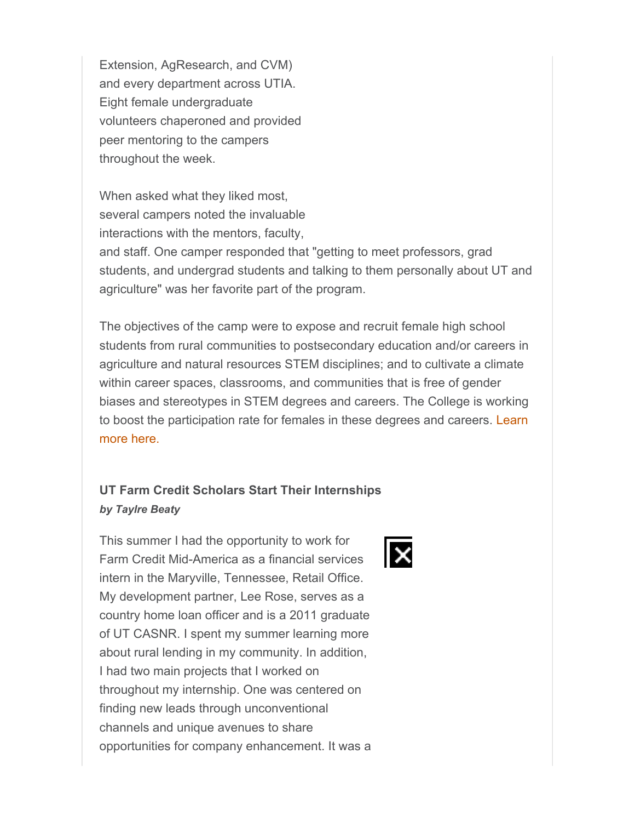Extension, AgResearch, and CVM) and every department across UTIA. Eight female undergraduate volunteers chaperoned and provided peer mentoring to the campers throughout the week.

When asked what they liked most, several campers noted the invaluable interactions with the mentors, faculty,

and staff. One camper responded that "getting to meet professors, grad students, and undergrad students and talking to them personally about UT and agriculture" was her favorite part of the program.

The objectives of the camp were to expose and recruit female high school students from rural communities to postsecondary education and/or careers in agriculture and natural resources STEM disciplines; and to cultivate a climate within career spaces, classrooms, and communities that is free of gender biases and stereotypes in STEM degrees and careers. The College is working to boost the participation rate for females in these degrees and careers. Learn more here.

# **UT Farm Credit Scholars Start Their Internships** *by Taylre Beaty*

This summer I had the opportunity to work for Farm Credit Mid-America as a financial services intern in the Maryville, Tennessee, Retail Office. My development partner, Lee Rose, serves as a country home loan officer and is a 2011 graduate of UT CASNR. I spent my summer learning more about rural lending in my community. In addition, I had two main projects that I worked on throughout my internship. One was centered on finding new leads through unconventional channels and unique avenues to share opportunities for company enhancement. It was a

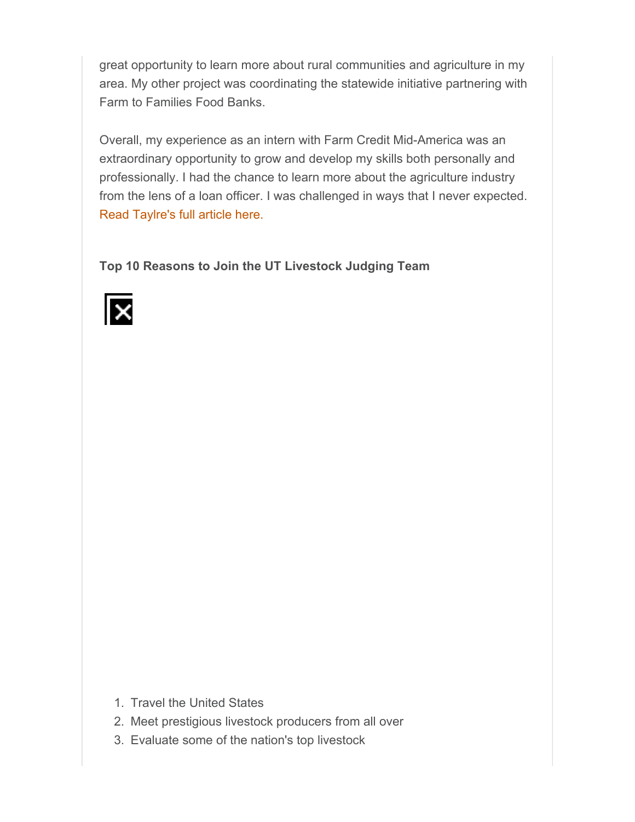great opportunity to learn more about rural communities and agriculture in my area. My other project was coordinating the statewide initiative partnering with Farm to Families Food Banks.

Overall, my experience as an intern with Farm Credit Mid-America was an extraordinary opportunity to grow and develop my skills both personally and professionally. I had the chance to learn more about the agriculture industry from the lens of a loan officer. I was challenged in ways that I never expected. Read Taylre's full article here.

**Top 10 Reasons to Join the UT Livestock Judging Team** 



- 1. Travel the United States
- 2. Meet prestigious livestock producers from all over
- 3. Evaluate some of the nation's top livestock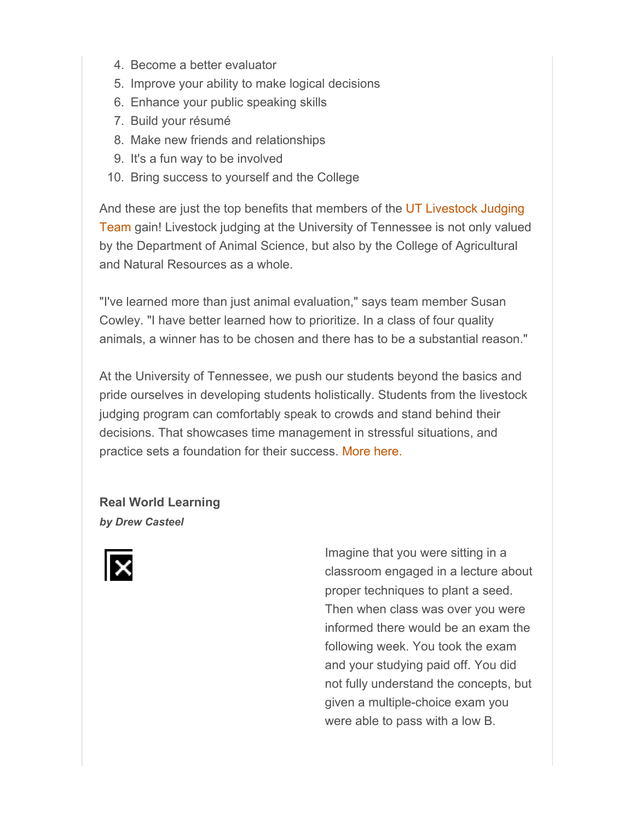- 4. Become a better evaluator
- 5. Improve your ability to make logical decisions
- 6. Enhance your public speaking skills
- 7. Build your résumé
- 8. Make new friends and relationships
- 9. It's a fun way to be involved
- 10. Bring success to yourself and the College

And these are just the top benefits that members of the UT Livestock Judging Team gain! Livestock judging at the University of Tennessee is not only valued by the Department of Animal Science, but also by the College of Agricultural and Natural Resources as a whole.

"I've learned more than just animal evaluation," says team member Susan Cowley. "I have better learned how to prioritize. In a class of four quality animals, a winner has to be chosen and there has to be a substantial reason."

At the University of Tennessee, we push our students beyond the basics and pride ourselves in developing students holistically. Students from the livestock judging program can comfortably speak to crowds and stand behind their decisions. That showcases time management in stressful situations, and practice sets a foundation for their success. More here.

**Real World Learning** *by Drew Casteel*



Imagine that you were sitting in a classroom engaged in a lecture about proper techniques to plant a seed. Then when class was over you were informed there would be an exam the following week. You took the exam and your studying paid off. You did not fully understand the concepts, but given a multiple-choice exam you were able to pass with a low B.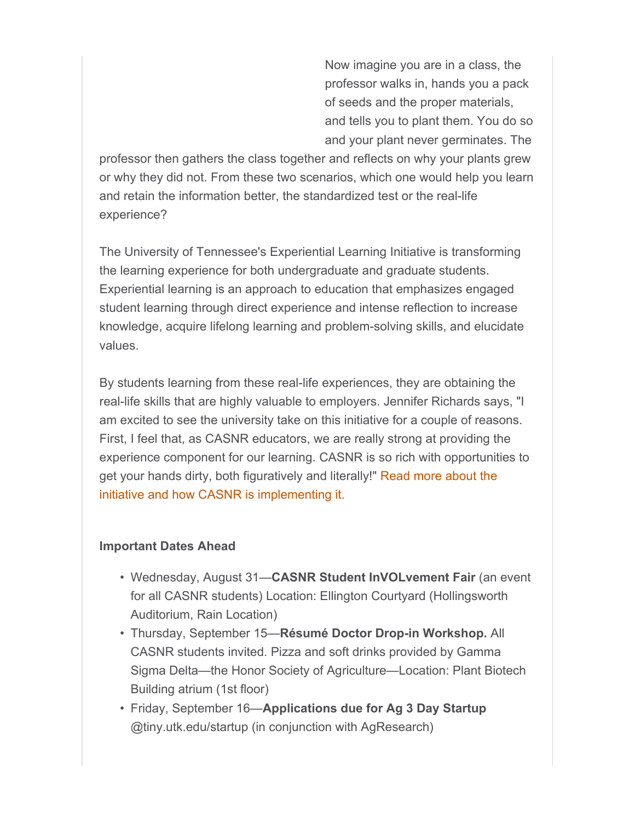Now imagine you are in a class, the professor walks in, hands you a pack of seeds and the proper materials, and tells you to plant them. You do so and your plant never germinates. The

professor then gathers the class together and reflects on why your plants grew or why they did not. From these two scenarios, which one would help you learn and retain the information better, the standardized test or the real-life experience?

The University of Tennessee's Experiential Learning Initiative is transforming the learning experience for both undergraduate and graduate students. Experiential learning is an approach to education that emphasizes engaged student learning through direct experience and intense reflection to increase knowledge, acquire lifelong learning and problem-solving skills, and elucidate values.

By students learning from these real-life experiences, they are obtaining the real-life skills that are highly valuable to employers. Jennifer Richards says, "I am excited to see the university take on this initiative for a couple of reasons. First, I feel that, as CASNR educators, we are really strong at providing the experience component for our learning. CASNR is so rich with opportunities to get your hands dirty, both figuratively and literally!" Read more about the initiative and how CASNR is implementing it.

#### **Important Dates Ahead**

- Wednesday, August 31—**CASNR Student InVOLvement Fair** (an event for all CASNR students) Location: Ellington Courtyard (Hollingsworth Auditorium, Rain Location)
- Thursday, September 15—**Résumé Doctor Drop-in Workshop.** All CASNR students invited. Pizza and soft drinks provided by Gamma Sigma Delta—the Honor Society of Agriculture—Location: Plant Biotech Building atrium (1st floor)
- Friday, September 16—**Applications due for Ag 3 Day Startup** @tiny.utk.edu/startup (in conjunction with AgResearch)